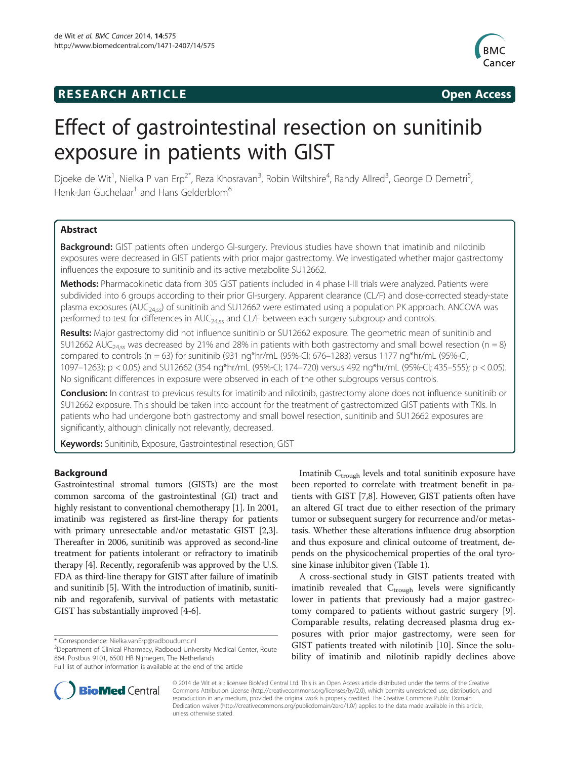# **RESEARCH ARTICLE Example 2014 CONSIDERING CONSIDERING CONSIDERING CONSIDERING CONSIDERING CONSIDERING CONSIDERING CONSIDERING CONSIDERING CONSIDERING CONSIDERING CONSIDERING CONSIDERING CONSIDERING CONSIDERING CONSIDE**



# Effect of gastrointestinal resection on sunitinib exposure in patients with GIST

Djoeke de Wit<sup>1</sup>, Nielka P van Erp<sup>2\*</sup>, Reza Khosravan<sup>3</sup>, Robin Wiltshire<sup>4</sup>, Randy Allred<sup>3</sup>, George D Demetri<sup>5</sup> , Henk-Jan Guchelaar<sup>1</sup> and Hans Gelderblom<sup>6</sup>

# Abstract

Background: GIST patients often undergo GI-surgery. Previous studies have shown that imatinib and nilotinib exposures were decreased in GIST patients with prior major gastrectomy. We investigated whether major gastrectomy influences the exposure to sunitinib and its active metabolite SU12662.

Methods: Pharmacokinetic data from 305 GIST patients included in 4 phase I-III trials were analyzed. Patients were subdivided into 6 groups according to their prior GI-surgery. Apparent clearance (CL/F) and dose-corrected steady-state plasma exposures (AUC<sub>24,ss</sub>) of sunitinib and SU12662 were estimated using a population PK approach. ANCOVA was performed to test for differences in  $AUC_{24,ss}$  and CL/F between each surgery subgroup and controls.

Results: Major gastrectomy did not influence sunitinib or SU12662 exposure. The geometric mean of sunitinib and SU12662 AUC<sub>24,55</sub> was decreased by 21% and 28% in patients with both gastrectomy and small bowel resection (n = 8) compared to controls (n = 63) for sunitinib (931 ng\*hr/mL (95%-CI; 676–1283) versus 1177 ng\*hr/mL (95%-CI; 1097–1263); p < 0.05) and SU12662 (354 ng\*hr/mL (95%-CI; 174–720) versus 492 ng\*hr/mL (95%-CI; 435–555); p < 0.05). No significant differences in exposure were observed in each of the other subgroups versus controls.

Conclusion: In contrast to previous results for imatinib and nilotinib, gastrectomy alone does not influence sunitinib or SU12662 exposure. This should be taken into account for the treatment of gastrectomized GIST patients with TKIs. In patients who had undergone both gastrectomy and small bowel resection, sunitinib and SU12662 exposures are significantly, although clinically not relevantly, decreased.

**Keywords:** Sunitinib, Exposure, Gastrointestinal resection, GIST

# Background

Gastrointestinal stromal tumors (GISTs) are the most common sarcoma of the gastrointestinal (GI) tract and highly resistant to conventional chemotherapy [[1](#page-6-0)]. In 2001, imatinib was registered as first-line therapy for patients with primary unresectable and/or metastatic GIST [[2,3](#page-6-0)]. Thereafter in 2006, sunitinib was approved as second-line treatment for patients intolerant or refractory to imatinib therapy [\[4\]](#page-6-0). Recently, regorafenib was approved by the U.S. FDA as third-line therapy for GIST after failure of imatinib and sunitinib [\[5](#page-6-0)]. With the introduction of imatinib, sunitinib and regorafenib, survival of patients with metastatic GIST has substantially improved [[4-6\]](#page-6-0).

<sup>2</sup>Department of Clinical Pharmacy, Radboud University Medical Center, Route 864, Postbus 9101, 6500 HB Nijmegen, The Netherlands

Imatinib  $C_{trough}$  levels and total sunitinib exposure have been reported to correlate with treatment benefit in patients with GIST [\[7,8\]](#page-6-0). However, GIST patients often have an altered GI tract due to either resection of the primary tumor or subsequent surgery for recurrence and/or metastasis. Whether these alterations influence drug absorption and thus exposure and clinical outcome of treatment, depends on the physicochemical properties of the oral tyrosine kinase inhibitor given (Table [1\)](#page-1-0).

A cross-sectional study in GIST patients treated with imatinib revealed that  $C_{\text{trough}}$  levels were significantly lower in patients that previously had a major gastrectomy compared to patients without gastric surgery [\[9](#page-6-0)]. Comparable results, relating decreased plasma drug exposures with prior major gastrectomy, were seen for GIST patients treated with nilotinib [[10\]](#page-6-0). Since the solubility of imatinib and nilotinib rapidly declines above



© 2014 de Wit et al.; licensee BioMed Central Ltd. This is an Open Access article distributed under the terms of the Creative Commons Attribution License [\(http://creativecommons.org/licenses/by/2.0\)](http://creativecommons.org/licenses/by/2.0), which permits unrestricted use, distribution, and reproduction in any medium, provided the original work is properly credited. The Creative Commons Public Domain Dedication waiver [\(http://creativecommons.org/publicdomain/zero/1.0/](http://creativecommons.org/publicdomain/zero/1.0/)) applies to the data made available in this article, unless otherwise stated.

<sup>\*</sup> Correspondence: [Nielka.vanErp@radboudumc.nl](mailto:Nielka.vanErp@radboudumc.nl) <sup>2</sup>

Full list of author information is available at the end of the article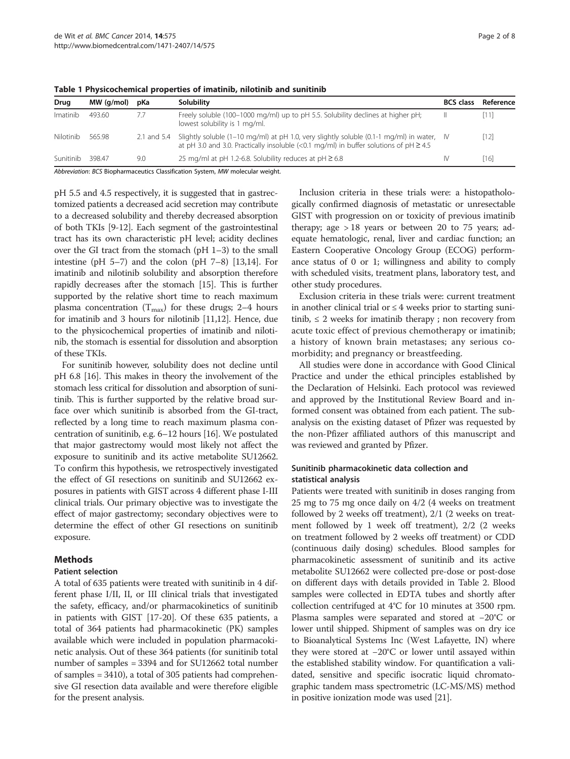| Drug      | MW(q/mol) | pKa         | Solubility                                                                                                                                                                                                  | <b>BCS class</b> | Reference |
|-----------|-----------|-------------|-------------------------------------------------------------------------------------------------------------------------------------------------------------------------------------------------------------|------------------|-----------|
| Imatinib  | 493.60    | 7.7         | Freely soluble (100–1000 mg/ml) up to pH 5.5. Solubility declines at higher pH;<br>lowest solubility is 1 mg/ml.                                                                                            | $\mathbb{I}$     | [11]      |
| Nilotinib | 565.98    | 2.1 and 5.4 | Slightly soluble $(1-10 \text{ mg/ml})$ at pH 1.0, very slightly soluble $(0.1-1 \text{ mg/ml})$ in water, IV<br>at pH 3.0 and 3.0. Practically insoluble (<0.1 mg/ml) in buffer solutions of pH $\geq$ 4.5 |                  | $[12]$    |
| Sunitinib | 39847     | 9.0         | 25 mg/ml at pH 1.2-6.8. Solubility reduces at pH $\geq$ 6.8                                                                                                                                                 | IV.              | [16]      |

<span id="page-1-0"></span>Table 1 Physicochemical properties of imatinib, nilotinib and sunitinib

Abbreviation: BCS Biopharmaceutics Classification System, MW molecular weight.

pH 5.5 and 4.5 respectively, it is suggested that in gastrectomized patients a decreased acid secretion may contribute to a decreased solubility and thereby decreased absorption of both TKIs [\[9-12\]](#page-6-0). Each segment of the gastrointestinal tract has its own characteristic pH level; acidity declines over the GI tract from the stomach (pH 1–3) to the small intestine (pH  $5-7$ ) and the colon (pH  $7-8$ ) [\[13,14](#page-6-0)]. For imatinib and nilotinib solubility and absorption therefore rapidly decreases after the stomach [\[15](#page-6-0)]. This is further supported by the relative short time to reach maximum plasma concentration  $(T_{\text{max}})$  for these drugs; 2–4 hours for imatinib and 3 hours for nilotinib [\[11,12](#page-6-0)]. Hence, due to the physicochemical properties of imatinib and nilotinib, the stomach is essential for dissolution and absorption of these TKIs.

For sunitinib however, solubility does not decline until pH 6.8 [[16](#page-6-0)]. This makes in theory the involvement of the stomach less critical for dissolution and absorption of sunitinib. This is further supported by the relative broad surface over which sunitinib is absorbed from the GI-tract, reflected by a long time to reach maximum plasma concentration of sunitinib, e.g. 6–12 hours [[16](#page-6-0)]. We postulated that major gastrectomy would most likely not affect the exposure to sunitinib and its active metabolite SU12662. To confirm this hypothesis, we retrospectively investigated the effect of GI resections on sunitinib and SU12662 exposures in patients with GIST across 4 different phase I-III clinical trials. Our primary objective was to investigate the effect of major gastrectomy; secondary objectives were to determine the effect of other GI resections on sunitinib exposure.

#### Methods

#### Patient selection

A total of 635 patients were treated with sunitinib in 4 different phase I/II, II, or III clinical trials that investigated the safety, efficacy, and/or pharmacokinetics of sunitinib in patients with GIST [\[17](#page-6-0)-[20](#page-7-0)]. Of these 635 patients, a total of 364 patients had pharmacokinetic (PK) samples available which were included in population pharmacokinetic analysis. Out of these 364 patients (for sunitinib total number of samples = 3394 and for SU12662 total number of samples = 3410), a total of 305 patients had comprehensive GI resection data available and were therefore eligible for the present analysis.

Inclusion criteria in these trials were: a histopathologically confirmed diagnosis of metastatic or unresectable GIST with progression on or toxicity of previous imatinib therapy; age  $> 18$  years or between 20 to 75 years; adequate hematologic, renal, liver and cardiac function; an Eastern Cooperative Oncology Group (ECOG) performance status of 0 or 1; willingness and ability to comply with scheduled visits, treatment plans, laboratory test, and other study procedures.

Exclusion criteria in these trials were: current treatment in another clinical trial or  $\leq$  4 weeks prior to starting sunitinib,  $\leq 2$  weeks for imatinib therapy; non recovery from acute toxic effect of previous chemotherapy or imatinib; a history of known brain metastases; any serious comorbidity; and pregnancy or breastfeeding.

All studies were done in accordance with Good Clinical Practice and under the ethical principles established by the Declaration of Helsinki. Each protocol was reviewed and approved by the Institutional Review Board and informed consent was obtained from each patient. The subanalysis on the existing dataset of Pfizer was requested by the non-Pfizer affiliated authors of this manuscript and was reviewed and granted by Pfizer.

## Sunitinib pharmacokinetic data collection and statistical analysis

Patients were treated with sunitinib in doses ranging from 25 mg to 75 mg once daily on 4/2 (4 weeks on treatment followed by 2 weeks off treatment), 2/1 (2 weeks on treatment followed by 1 week off treatment), 2/2 (2 weeks on treatment followed by 2 weeks off treatment) or CDD (continuous daily dosing) schedules. Blood samples for pharmacokinetic assessment of sunitinib and its active metabolite SU12662 were collected pre-dose or post-dose on different days with details provided in Table [2](#page-2-0). Blood samples were collected in EDTA tubes and shortly after collection centrifuged at 4°C for 10 minutes at 3500 rpm. Plasma samples were separated and stored at −20°C or lower until shipped. Shipment of samples was on dry ice to Bioanalytical Systems Inc (West Lafayette, IN) where they were stored at −20°C or lower until assayed within the established stability window. For quantification a validated, sensitive and specific isocratic liquid chromatographic tandem mass spectrometric (LC-MS/MS) method in positive ionization mode was used [\[21\]](#page-7-0).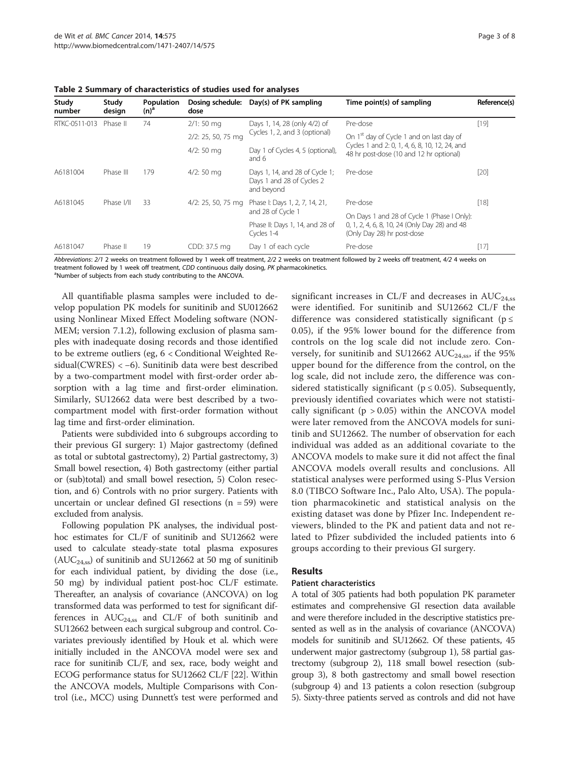| Study<br>number | Study<br>design | Population<br>$(n)^a$ | dose                | Dosing schedule: Day(s) of PK sampling                                    | Time point(s) of sampling                                                                 | Reference(s) |
|-----------------|-----------------|-----------------------|---------------------|---------------------------------------------------------------------------|-------------------------------------------------------------------------------------------|--------------|
| RTKC-0511-013   | Phase II        | 74                    | $2/1:50 \text{ mg}$ | Days 1, 14, 28 (only 4/2) of<br>Cycles 1, 2, and 3 (optional)             | Pre-dose                                                                                  | $[19]$       |
|                 |                 |                       | 2/2: 25, 50, 75 mg  |                                                                           | On 1 <sup>st</sup> day of Cycle 1 and on last day of                                      |              |
|                 |                 |                       | $4/2:50 \text{ mg}$ | Day 1 of Cycles 4, 5 (optional),<br>and 6                                 | Cycles 1 and 2: 0, 1, 4, 6, 8, 10, 12, 24, and<br>48 hr post-dose (10 and 12 hr optional) |              |
| A6181004        | Phase III       | 179                   | $4/2:50$ mg         | Days 1, 14, and 28 of Cycle 1;<br>Days 1 and 28 of Cycles 2<br>and beyond | Pre-dose                                                                                  | $[20]$       |
| A6181045        | Phase I/II      | 33                    | 4/2: 25, 50, 75 mg  | Phase I: Days 1, 2, 7, 14, 21,                                            | Pre-dose                                                                                  | $[18]$       |
|                 |                 |                       |                     | and 28 of Cycle 1                                                         | On Days 1 and 28 of Cycle 1 (Phase I Only):                                               |              |
|                 |                 |                       |                     | Phase II: Days 1, 14, and 28 of<br>Cycles 1-4                             | 0, 1, 2, 4, 6, 8, 10, 24 (Only Day 28) and 48<br>(Only Day 28) hr post-dose               |              |
| A6181047        | Phase II        | 19                    | CDD: 37.5 ma        | Day 1 of each cycle                                                       | Pre-dose                                                                                  | $[17]$       |

<span id="page-2-0"></span>Table 2 Summary of characteristics of studies used for analyses

Abbreviations: 2/1 2 weeks on treatment followed by 1 week off treatment, 2/2 2 weeks on treatment followed by 2 weeks off treatment, 4/2 4 weeks on treatment followed by 1 week off treatment, CDD continuous daily dosing, PK pharmacokinetics.

<sup>a</sup>Number of subjects from each study contributing to the ANCOVA.

All quantifiable plasma samples were included to develop population PK models for sunitinib and SU012662 using Nonlinear Mixed Effect Modeling software (NON-MEM; version 7.1.2), following exclusion of plasma samples with inadequate dosing records and those identified to be extreme outliers (eg, 6 < Conditional Weighted Residual(CWRES) < −6). Sunitinib data were best described by a two-compartment model with first-order order absorption with a lag time and first-order elimination. Similarly, SU12662 data were best described by a twocompartment model with first-order formation without lag time and first-order elimination.

Patients were subdivided into 6 subgroups according to their previous GI surgery: 1) Major gastrectomy (defined as total or subtotal gastrectomy), 2) Partial gastrectomy, 3) Small bowel resection, 4) Both gastrectomy (either partial or (sub)total) and small bowel resection, 5) Colon resection, and 6) Controls with no prior surgery. Patients with uncertain or unclear defined GI resections  $(n = 59)$  were excluded from analysis.

Following population PK analyses, the individual posthoc estimates for CL/F of sunitinib and SU12662 were used to calculate steady-state total plasma exposures  $(AUC<sub>24,ss</sub>)$  of sunitinib and SU12662 at 50 mg of sunitinib for each individual patient, by dividing the dose (i.e., 50 mg) by individual patient post-hoc CL/F estimate. Thereafter, an analysis of covariance (ANCOVA) on log transformed data was performed to test for significant differences in  $AUC_{24,ss}$  and  $CL/F$  of both sunitinib and SU12662 between each surgical subgroup and control. Covariates previously identified by Houk et al. which were initially included in the ANCOVA model were sex and race for sunitinib CL/F, and sex, race, body weight and ECOG performance status for SU12662 CL/F [[22](#page-7-0)]. Within the ANCOVA models, Multiple Comparisons with Control (i.e., MCC) using Dunnett's test were performed and

significant increases in CL/F and decreases in  $AUC_{24,ss}$ were identified. For sunitinib and SU12662 CL/F the difference was considered statistically significant ( $p \le$ 0.05), if the 95% lower bound for the difference from controls on the log scale did not include zero. Conversely, for sunitinib and SU12662 AUC $_{24,ss}$ , if the 95% upper bound for the difference from the control, on the log scale, did not include zero, the difference was considered statistically significant ( $p \le 0.05$ ). Subsequently, previously identified covariates which were not statistically significant ( $p > 0.05$ ) within the ANCOVA model were later removed from the ANCOVA models for sunitinib and SU12662. The number of observation for each individual was added as an additional covariate to the ANCOVA models to make sure it did not affect the final ANCOVA models overall results and conclusions. All statistical analyses were performed using S-Plus Version 8.0 (TIBCO Software Inc., Palo Alto, USA). The population pharmacokinetic and statistical analysis on the existing dataset was done by Pfizer Inc. Independent reviewers, blinded to the PK and patient data and not related to Pfizer subdivided the included patients into 6 groups according to their previous GI surgery.

# Results

#### Patient characteristics

A total of 305 patients had both population PK parameter estimates and comprehensive GI resection data available and were therefore included in the descriptive statistics presented as well as in the analysis of covariance (ANCOVA) models for sunitinib and SU12662. Of these patients, 45 underwent major gastrectomy (subgroup 1), 58 partial gastrectomy (subgroup 2), 118 small bowel resection (subgroup 3), 8 both gastrectomy and small bowel resection (subgroup 4) and 13 patients a colon resection (subgroup 5). Sixty-three patients served as controls and did not have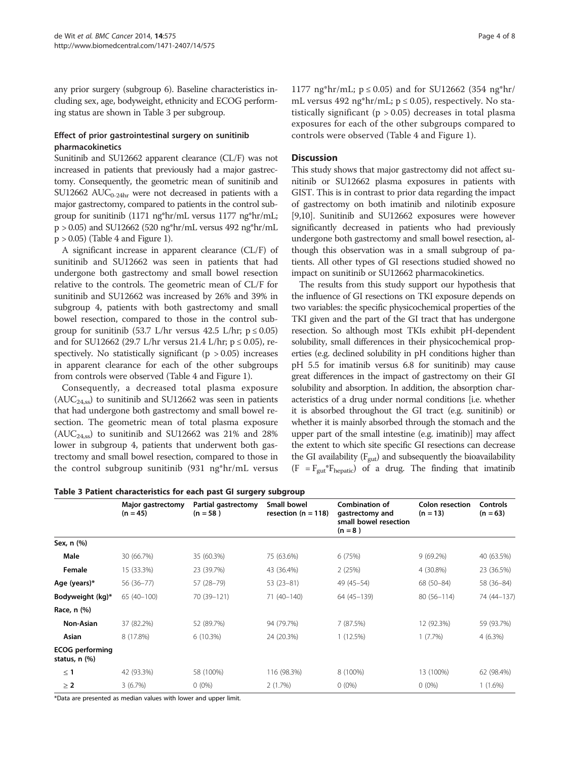any prior surgery (subgroup 6). Baseline characteristics including sex, age, bodyweight, ethnicity and ECOG performing status are shown in Table 3 per subgroup.

# Effect of prior gastrointestinal surgery on sunitinib pharmacokinetics

Sunitinib and SU12662 apparent clearance (CL/F) was not increased in patients that previously had a major gastrectomy. Consequently, the geometric mean of sunitinib and SU12662 AUC<sub>0-24hr</sub> were not decreased in patients with a major gastrectomy, compared to patients in the control subgroup for sunitinib (1171 ng\*hr/mL versus 1177 ng\*hr/mL; p > 0.05) and SU12662 (520 ng\*hr/mL versus 492 ng\*hr/mL  $p > 0.05$ ) (Table [4](#page-4-0) and Figure [1\)](#page-5-0).

A significant increase in apparent clearance (CL/F) of sunitinib and SU12662 was seen in patients that had undergone both gastrectomy and small bowel resection relative to the controls. The geometric mean of CL/F for sunitinib and SU12662 was increased by 26% and 39% in subgroup 4, patients with both gastrectomy and small bowel resection, compared to those in the control subgroup for sunitinib (53.7 L/hr versus 42.5 L/hr;  $p \le 0.05$ ) and for SU12662 (29.7 L/hr versus 21.4 L/hr;  $p \le 0.05$ ), respectively. No statistically significant ( $p > 0.05$ ) increases in apparent clearance for each of the other subgroups from controls were observed (Table [4](#page-4-0) and Figure [1\)](#page-5-0).

Consequently, a decreased total plasma exposure  $(AUC<sub>24,ss</sub>)$  to sunitinib and SU12662 was seen in patients that had undergone both gastrectomy and small bowel resection. The geometric mean of total plasma exposure  $(AUC<sub>24,ss</sub>)$  to sunitinib and SU12662 was 21% and 28% lower in subgroup 4, patients that underwent both gastrectomy and small bowel resection, compared to those in the control subgroup sunitinib (931 ng\*hr/mL versus

1177 ng\*hr/mL;  $p \le 0.05$ ) and for SU12662 (354 ng\*hr/ mL versus 492 ng\*hr/mL;  $p \le 0.05$ ), respectively. No statistically significant ( $p > 0.05$ ) decreases in total plasma exposures for each of the other subgroups compared to controls were observed (Table [4](#page-4-0) and Figure [1](#page-5-0)).

### **Discussion**

This study shows that major gastrectomy did not affect sunitinib or SU12662 plasma exposures in patients with GIST. This is in contrast to prior data regarding the impact of gastrectomy on both imatinib and nilotinib exposure [[9,10](#page-6-0)]. Sunitinib and SU12662 exposures were however significantly decreased in patients who had previously undergone both gastrectomy and small bowel resection, although this observation was in a small subgroup of patients. All other types of GI resections studied showed no impact on sunitinib or SU12662 pharmacokinetics.

The results from this study support our hypothesis that the influence of GI resections on TKI exposure depends on two variables: the specific physicochemical properties of the TKI given and the part of the GI tract that has undergone resection. So although most TKIs exhibit pH-dependent solubility, small differences in their physicochemical properties (e.g. declined solubility in pH conditions higher than pH 5.5 for imatinib versus 6.8 for sunitinib) may cause great differences in the impact of gastrectomy on their GI solubility and absorption. In addition, the absorption characteristics of a drug under normal conditions [i.e. whether it is absorbed throughout the GI tract (e.g. sunitinib) or whether it is mainly absorbed through the stomach and the upper part of the small intestine (e.g. imatinib)] may affect the extent to which site specific GI resections can decrease the GI availability  $(F_{\text{cut}})$  and subsequently the bioavailability  $(F = F_{\text{out}} * F_{\text{hepatic}})$  of a drug. The finding that imatinib

Table 3 Patient characteristics for each past GI surgery subgroup

|                                              | Major gastrectomy<br>$(n = 45)$ | Partial gastrectomy<br>$(n = 58)$ | Small bowel<br>resection ( $n = 118$ ) | <b>Combination of</b><br>gastrectomy and<br>small bowel resection<br>$(n=8)$ | <b>Colon resection</b><br>$(n = 13)$ | Controls<br>$(n = 63)$ |
|----------------------------------------------|---------------------------------|-----------------------------------|----------------------------------------|------------------------------------------------------------------------------|--------------------------------------|------------------------|
| Sex, n (%)                                   |                                 |                                   |                                        |                                                                              |                                      |                        |
| Male                                         | 30 (66.7%)                      | 35 (60.3%)                        | 75 (63.6%)                             | 6 (75%)                                                                      | $9(69.2\%)$                          | 40 (63.5%)             |
| Female                                       | 15 (33.3%)                      | 23 (39.7%)                        | 43 (36.4%)                             | 2(25%)                                                                       | 4 (30.8%)                            | 23 (36.5%)             |
| Age (years)*                                 | 56 (36-77)                      | 57 (28-79)                        | $53(23-81)$                            | 49 (45 - 54)                                                                 | 68 (50-84)                           | 58 (36-84)             |
| Bodyweight (kg)*                             | 65 (40-100)                     | 70 (39-121)                       | 71 (40-140)                            | 64 (45 - 139)                                                                | 80 (56-114)                          | 74 (44-137)            |
| Race, n (%)                                  |                                 |                                   |                                        |                                                                              |                                      |                        |
| <b>Non-Asian</b>                             | 37 (82.2%)                      | 52 (89.7%)                        | 94 (79.7%)                             | 7 (87.5%)                                                                    | 12 (92.3%)                           | 59 (93.7%)             |
| Asian                                        | 8 (17.8%)                       | 6(10.3%)                          | 24 (20.3%)                             | 1(12.5%)                                                                     | $1(7.7\%)$                           | 4(6.3%)                |
| <b>ECOG</b> performing<br>status, $n$ $(\%)$ |                                 |                                   |                                        |                                                                              |                                      |                        |
| $\leq 1$                                     | 42 (93.3%)                      | 58 (100%)                         | 116 (98.3%)                            | 8 (100%)                                                                     | 13 (100%)                            | 62 (98.4%)             |
| $\geq 2$                                     | 3(6.7%)                         | $0(0\%)$                          | 2(1.7%)                                | $0(0\%)$                                                                     | $0(0\%)$                             | $1(1.6\%)$             |

\*Data are presented as median values with lower and upper limit.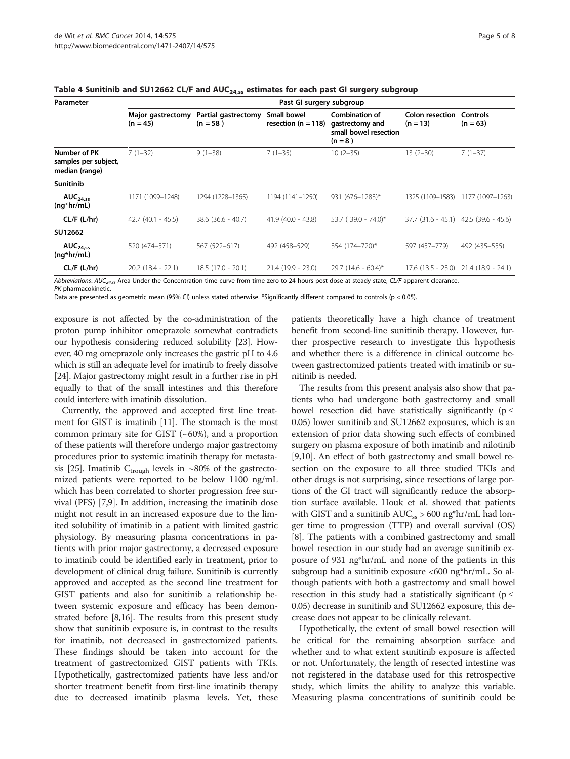| Parameter                                              | Past GI surgery subgroup        |                                   |                                        |                                                                                |                                      |                                               |  |  |  |
|--------------------------------------------------------|---------------------------------|-----------------------------------|----------------------------------------|--------------------------------------------------------------------------------|--------------------------------------|-----------------------------------------------|--|--|--|
|                                                        | Major gastrectomy<br>$(n = 45)$ | Partial gastrectomy<br>$(n = 58)$ | Small bowel<br>resection ( $n = 118$ ) | <b>Combination of</b><br>gastrectomy and<br>small bowel resection<br>$(n = 8)$ | <b>Colon resection</b><br>$(n = 13)$ | <b>Controls</b><br>$(n = 63)$                 |  |  |  |
| Number of PK<br>samples per subject,<br>median (range) | $7(1-32)$                       | $9(1-38)$                         | $7(1-35)$                              | $10(2-35)$                                                                     | $13(2-30)$                           | $7(1-37)$                                     |  |  |  |
| Sunitinib                                              |                                 |                                   |                                        |                                                                                |                                      |                                               |  |  |  |
| AUC <sub>24.55</sub><br>$(nq*hr/mL)$                   | 1171 (1099-1248)                | 1294 (1228-1365)                  | 1194 (1141–1250)                       | 931 (676-1283)*                                                                | 1325 (1109–1583)                     | 1177 (1097–1263)                              |  |  |  |
| CL/F (L/hr)                                            | $42.7(40.1 - 45.5)$             | $38.6$ (36.6 - 40.7)              | $41.9(40.0 - 43.8)$                    | $53.7$ (39.0 - 74.0)*                                                          |                                      | $37.7$ $(31.6 - 45.1)$ $42.5$ $(39.6 - 45.6)$ |  |  |  |
| SU12662                                                |                                 |                                   |                                        |                                                                                |                                      |                                               |  |  |  |
| AUC <sub>24.55</sub><br>$(nq*hr/mL)$                   | 520 (474-571)                   | 567 (522-617)                     | 492 (458-529)                          | 354 (174-720)*                                                                 | 597 (457-779)                        | 492 (435 - 555)                               |  |  |  |
| CL/F (L/hr)                                            | $20.2(18.4 - 22.1)$             | $18.5(17.0 - 20.1)$               | $21.4(19.9 - 23.0)$                    | $29.7$ (14.6 - 60.4)*                                                          |                                      | $17.6(13.5 - 23.0)$ $21.4(18.9 - 24.1)$       |  |  |  |

<span id="page-4-0"></span>Table 4 Sunitinib and SU12662 CL/F and  $AUC_{24,ss}$  estimates for each past GI surgery subgroup

Abbreviations:  $AUC_{24,ss}$  Area Under the Concentration-time curve from time zero to 24 hours post-dose at steady state, CL/F apparent clearance,

PK pharmacokinetic.

Data are presented as geometric mean (95% CI) unless stated otherwise. \*Significantly different compared to controls (p < 0.05).

exposure is not affected by the co-administration of the proton pump inhibitor omeprazole somewhat contradicts our hypothesis considering reduced solubility [\[23](#page-7-0)]. However, 40 mg omeprazole only increases the gastric pH to 4.6 which is still an adequate level for imatinib to freely dissolve [[24](#page-7-0)]. Major gastrectomy might result in a further rise in pH equally to that of the small intestines and this therefore could interfere with imatinib dissolution.

Currently, the approved and accepted first line treatment for GIST is imatinib [\[11\]](#page-6-0). The stomach is the most common primary site for GIST  $(-60\%)$ , and a proportion of these patients will therefore undergo major gastrectomy procedures prior to systemic imatinib therapy for metasta-sis [\[25\]](#page-7-0). Imatinib C<sub>trough</sub> levels in ~80% of the gastrectomized patients were reported to be below 1100 ng/mL which has been correlated to shorter progression free survival (PFS) [\[7,9\]](#page-6-0). In addition, increasing the imatinib dose might not result in an increased exposure due to the limited solubility of imatinib in a patient with limited gastric physiology. By measuring plasma concentrations in patients with prior major gastrectomy, a decreased exposure to imatinib could be identified early in treatment, prior to development of clinical drug failure. Sunitinib is currently approved and accepted as the second line treatment for GIST patients and also for sunitinib a relationship between systemic exposure and efficacy has been demonstrated before [\[8,16\]](#page-6-0). The results from this present study show that sunitinib exposure is, in contrast to the results for imatinib, not decreased in gastrectomized patients. These findings should be taken into account for the treatment of gastrectomized GIST patients with TKIs. Hypothetically, gastrectomized patients have less and/or shorter treatment benefit from first-line imatinib therapy due to decreased imatinib plasma levels. Yet, these patients theoretically have a high chance of treatment benefit from second-line sunitinib therapy. However, further prospective research to investigate this hypothesis and whether there is a difference in clinical outcome between gastrectomized patients treated with imatinib or sunitinib is needed.

The results from this present analysis also show that patients who had undergone both gastrectomy and small bowel resection did have statistically significantly ( $p \leq$ 0.05) lower sunitinib and SU12662 exposures, which is an extension of prior data showing such effects of combined surgery on plasma exposure of both imatinib and nilotinib [[9,10](#page-6-0)]. An effect of both gastrectomy and small bowel resection on the exposure to all three studied TKIs and other drugs is not surprising, since resections of large portions of the GI tract will significantly reduce the absorption surface available. Houk et al. showed that patients with GIST and a sunitinib  $AUC_{ss} > 600$  ng\*hr/mL had longer time to progression (TTP) and overall survival (OS) [[8\]](#page-6-0). The patients with a combined gastrectomy and small bowel resection in our study had an average sunitinib exposure of 931 ng\*hr/mL and none of the patients in this subgroup had a sunitinib exposure <600 ng\*hr/mL. So although patients with both a gastrectomy and small bowel resection in this study had a statistically significant ( $p \leq$ 0.05) decrease in sunitinib and SU12662 exposure, this decrease does not appear to be clinically relevant.

Hypothetically, the extent of small bowel resection will be critical for the remaining absorption surface and whether and to what extent sunitinib exposure is affected or not. Unfortunately, the length of resected intestine was not registered in the database used for this retrospective study, which limits the ability to analyze this variable. Measuring plasma concentrations of sunitinib could be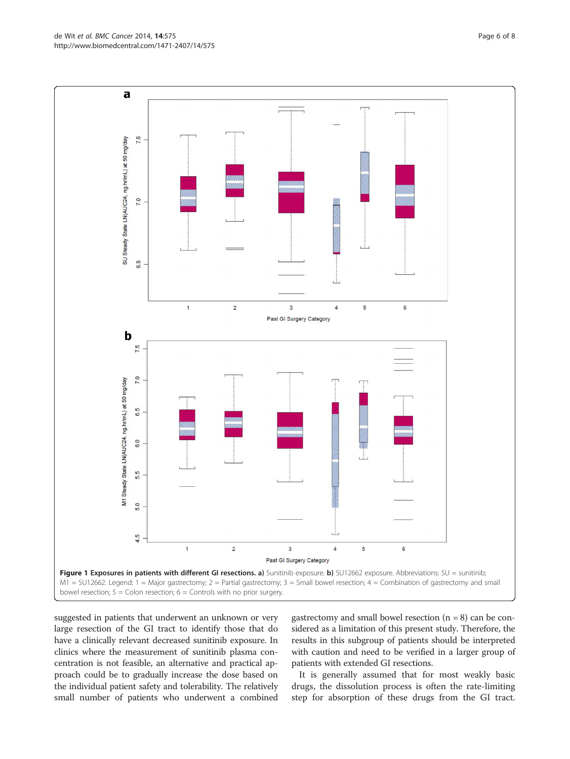suggested in patients that underwent an unknown or very large resection of the GI tract to identify those that do have a clinically relevant decreased sunitinib exposure. In clinics where the measurement of sunitinib plasma concentration is not feasible, an alternative and practical approach could be to gradually increase the dose based on the individual patient safety and tolerability. The relatively small number of patients who underwent a combined

gastrectomy and small bowel resection  $(n = 8)$  can be considered as a limitation of this present study. Therefore, the results in this subgroup of patients should be interpreted with caution and need to be verified in a larger group of patients with extended GI resections.

It is generally assumed that for most weakly basic drugs, the dissolution process is often the rate-limiting step for absorption of these drugs from the GI tract.

<span id="page-5-0"></span>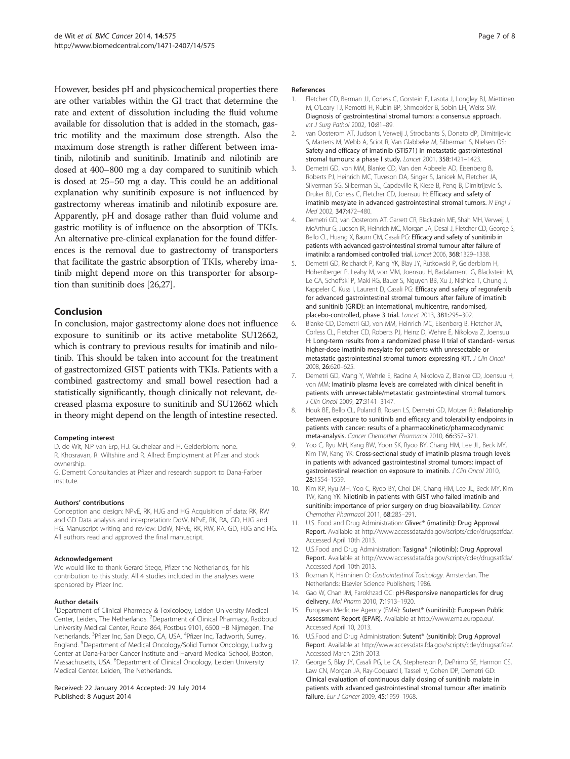<span id="page-6-0"></span>However, besides pH and physicochemical properties there are other variables within the GI tract that determine the rate and extent of dissolution including the fluid volume available for dissolution that is added in the stomach, gastric motility and the maximum dose strength. Also the maximum dose strength is rather different between imatinib, nilotinib and sunitinib. Imatinib and nilotinib are dosed at 400–800 mg a day compared to sunitinib which is dosed at 25–50 mg a day. This could be an additional explanation why sunitinib exposure is not influenced by gastrectomy whereas imatinib and nilotinib exposure are. Apparently, pH and dosage rather than fluid volume and gastric motility is of influence on the absorption of TKIs. An alternative pre-clinical explanation for the found differences is the removal due to gastrectomy of transporters that facilitate the gastric absorption of TKIs, whereby imatinib might depend more on this transporter for absorption than sunitinib does [[26,27\]](#page-7-0).

# Conclusion

In conclusion, major gastrectomy alone does not influence exposure to sunitinib or its active metabolite SU12662, which is contrary to previous results for imatinib and nilotinib. This should be taken into account for the treatment of gastrectomized GIST patients with TKIs. Patients with a combined gastrectomy and small bowel resection had a statistically significantly, though clinically not relevant, decreased plasma exposure to sunitinib and SU12662 which in theory might depend on the length of intestine resected.

#### Competing interest

D. de Wit, N.P van Erp, H.J. Guchelaar and H. Gelderblom: none. R. Khosravan, R. Wiltshire and R. Allred: Employment at Pfizer and stock ownership.

G. Demetri: Consultancies at Pfizer and research support to Dana-Farber institute.

#### Authors' contributions

Conception and design: NPvE, RK, HJG and HG Acquisition of data: RK, RW and GD Data analysis and interpretation: DdW, NPvE, RK, RA, GD, HJG and HG. Manuscript writing and review: DdW, NPvE, RK, RW, RA, GD, HJG and HG. All authors read and approved the final manuscript.

#### Acknowledgement

We would like to thank Gerard Stege, Pfizer the Netherlands, for his contribution to this study. All 4 studies included in the analyses were sponsored by Pfizer Inc.

#### Author details

<sup>1</sup>Department of Clinical Pharmacy & Toxicology, Leiden University Medical Center, Leiden, The Netherlands. <sup>2</sup>Department of Clinical Pharmacy, Radboud University Medical Center, Route 864, Postbus 9101, 6500 HB Nijmegen, The Netherlands. <sup>3</sup> Pfizer Inc, San Diego, CA, USA. <sup>4</sup> Pfizer Inc, Tadworth, Surrey, England. <sup>5</sup>Department of Medical Oncology/Solid Tumor Oncology, Ludwig Center at Dana-Farber Cancer Institute and Harvard Medical School, Boston, Massachusetts, USA. <sup>6</sup>Department of Clinical Oncology, Leiden University Medical Center, Leiden, The Netherlands.

#### Received: 22 January 2014 Accepted: 29 July 2014 Published: 8 August 2014

#### References

- 1. Fletcher CD, Berman JJ, Corless C, Gorstein F, Lasota J, Longley BJ, Miettinen M, O'Leary TJ, Remotti H, Rubin BP, Shmookler B, Sobin LH, Weiss SW: Diagnosis of gastrointestinal stromal tumors: a consensus approach. Int J Surg Pathol 2002, 10:81–89.
- 2. van Oosterom AT, Judson I, Verweij J, Stroobants S, Donato dP, Dimitrijevic S, Martens M, Webb A, Sciot R, Van Glabbeke M, Silberman S, Nielsen OS: Safety and efficacy of imatinib (STI571) in metastatic gastrointestinal stromal tumours: a phase I study. Lancet 2001, 358:1421–1423.
- 3. Demetri GD, von MM, Blanke CD, Van den Abbeele AD, Eisenberg B, Roberts PJ, Heinrich MC, Tuveson DA, Singer S, Janicek M, Fletcher JA, Silverman SG, Silberman SL, Capdeville R, Kiese B, Peng B, Dimitrijevic S, Druker BJ, Corless C, Fletcher CD, Joensuu H: Efficacy and safety of imatinib mesylate in advanced gastrointestinal stromal tumors. N Engl J Med 2002, 347:472–480.
- 4. Demetri GD, van Oosterom AT, Garrett CR, Blackstein ME, Shah MH, Verweij J, McArthur G, Judson IR, Heinrich MC, Morgan JA, Desai J, Fletcher CD, George S, Bello CL, Huang X, Baum CM, Casali PG: Efficacy and safety of sunitinib in patients with advanced gastrointestinal stromal tumour after failure of imatinib: a randomised controlled trial. Lancet 2006, 368:1329–1338.
- 5. Demetri GD, Reichardt P, Kang YK, Blay JY, Rutkowski P, Gelderblom H, Hohenberger P, Leahy M, von MM, Joensuu H, Badalamenti G, Blackstein M, Le CA, Schoffski P, Maki RG, Bauer S, Nguyen BB, Xu J, Nishida T, Chung J, Kappeler C, Kuss I, Laurent D, Casali PG: Efficacy and safety of regorafenib for advanced gastrointestinal stromal tumours after failure of imatinib and sunitinib (GRID): an international, multicentre, randomised, placebo-controlled, phase 3 trial. Lancet 2013, 381:295–302.
- 6. Blanke CD, Demetri GD, von MM, Heinrich MC, Eisenberg B, Fletcher JA, Corless CL, Fletcher CD, Roberts PJ, Heinz D, Wehre E, Nikolova Z, Joensuu H: Long-term results from a randomized phase II trial of standard- versus higher-dose imatinib mesylate for patients with unresectable or metastatic gastrointestinal stromal tumors expressing KIT. J Clin Oncol 2008, 26:620–625.
- 7. Demetri GD, Wang Y, Wehrle E, Racine A, Nikolova Z, Blanke CD, Joensuu H, von MM: Imatinib plasma levels are correlated with clinical benefit in patients with unresectable/metastatic gastrointestinal stromal tumors. J Clin Oncol 2009, 27:3141–3147.
- 8. Houk BE, Bello CL, Poland B, Rosen LS, Demetri GD, Motzer RJ: Relationship between exposure to sunitinib and efficacy and tolerability endpoints in patients with cancer: results of a pharmacokinetic/pharmacodynamic meta-analysis. Cancer Chemother Pharmacol 2010, 66:357–371.
- 9. Yoo C, Ryu MH, Kang BW, Yoon SK, Ryoo BY, Chang HM, Lee JL, Beck MY, Kim TW, Kang YK: Cross-sectional study of imatinib plasma trough levels in patients with advanced gastrointestinal stromal tumors: impact of gastrointestinal resection on exposure to imatinib. J Clin Oncol 2010, 28:1554–1559.
- 10. Kim KP, Ryu MH, Yoo C, Ryoo BY, Choi DR, Chang HM, Lee JL, Beck MY, Kim TW, Kang YK: Nilotinib in patients with GIST who failed imatinib and sunitinib: importance of prior surgery on drug bioavailability. Cancer Chemother Pharmacol 2011, 68:285–291.
- 11. U.S. Food and Drug Administration: Glivec® (imatinib): Drug Approval Report. Available at [http://www.accessdata.fda.gov/scripts/cder/drugsatfda/.](http://www.accessdata.fda.gov/scripts/cder/drugsatfda/) Accessed April 10th 2013.
- 12. U.S.Food and Drug Administration: Tasigna® (nilotinib): Drug Approval Report. Available at [http://www.accessdata.fda.gov/scripts/cder/drugsatfda/.](http://www.accessdata.fda.gov/scripts/cder/drugsatfda/) Accessed April 10th 2013.
- 13. Rozman K, Hänninen O: Gastrointestinal Toxicology. Amsterdan, The Netherlands: Elsevier Science Publishers; 1986.
- 14. Gao W, Chan JM, Farokhzad OC: pH-Responsive nanoparticles for drug delivery. Mol Pharm 2010, 7:1913–1920.
- 15. European Medicine Agency (EMA): Sutent® (sunitinib): European Public Assessment Report (EPAR). Available at [http://www.ema.europa.eu/.](http://www.ema.europa.eu/) Accessed April 10, 2013.
- 16. U.S.Food and Drug Administration: Sutent® (sunitinib): Drug Approval Report. Available at [http://www.accessdata.fda.gov/scripts/cder/drugsatfda/.](http://www.accessdata.fda.gov/scripts/cder/drugsatfda/) Accessed March 25th 2013.
- 17. George S, Blay JY, Casali PG, Le CA, Stephenson P, DePrimo SE, Harmon CS, Law CN, Morgan JA, Ray-Coquard I, Tassell V, Cohen DP, Demetri GD: Clinical evaluation of continuous daily dosing of sunitinib malate in patients with advanced gastrointestinal stromal tumour after imatinib failure. Eur J Cancer 2009, 45:1959–1968.